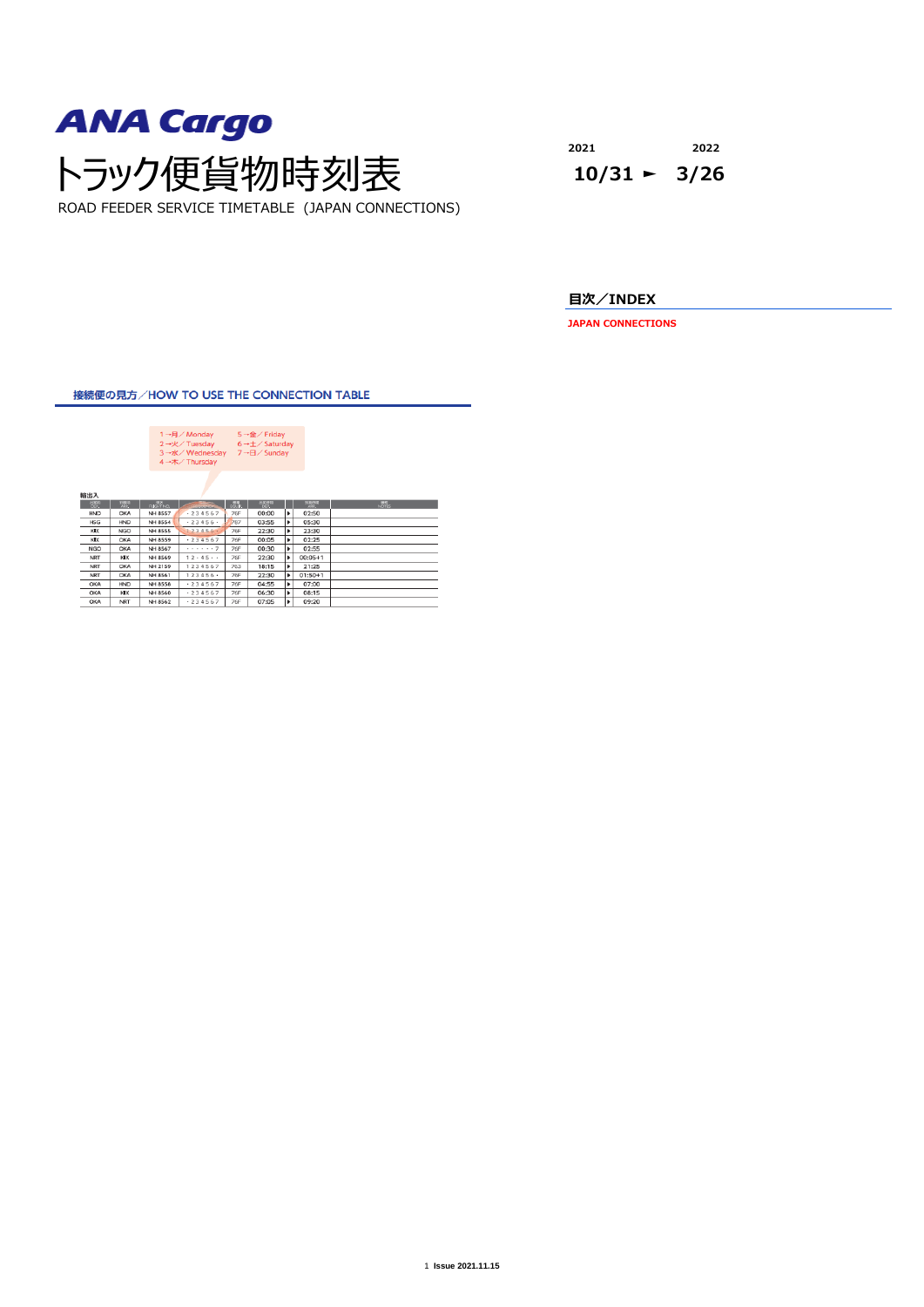

**2021 2022**

**目次/INDEX**

**JAPAN CONNECTIONS**

接続便の見方/HOW TO USE THE CONNECTION TABLE

| 1 →月/ Monday<br>$5 \rightarrow \hat{\mathbf{m}}$ / Friday<br>2→火/ Tuesday<br>$6 \rightarrow \pm \sqrt{5}$ Saturday<br>3→水/Wednesday<br>7→日/ Sunday<br>4→木/Thursday<br>輸出入<br>$rac{1886}{169}$<br>$\frac{122388}{192}$<br>$R = 88$<br><b>PILICE STRE</b><br>点点<br>開催さ<br><b><i>EXPANSIVE</i></b><br>00:00<br>٠<br>02:50<br><b>76F</b><br>HND<br>OKA<br><b>NH 8557</b><br>$-234567$<br>787<br>٠<br>05:30<br>NH 8554<br>$-23456$<br>03:55<br><b>HND</b><br><b>HSG</b><br>٠<br>23:30<br><b>NGO</b><br>123456.<br><b>76F</b><br>22:30<br><b>NH 8555</b><br>кIх<br>$-234567$<br>76F<br>٠<br><b>NH 8559</b><br>00:05<br>02:25<br>кIх<br>OKA<br>. 7<br>٠<br>NH 8567<br><b>76F</b><br>00:30<br>02:55<br><b>NGO</b><br>OKA<br>$12 - 45$<br>$00:05 + 1$<br>76F<br>22:30<br>٠<br>KIX<br>NH 8569<br><b>NRT</b><br>1234567<br>٠<br>NH 2159<br>763<br>18:15<br>21:25<br><b>NRT</b><br>OKA<br>$123456$ $+$<br>NH 8561<br>76F<br>22:30<br>٠<br>$01:50+1$<br><b>NRT</b><br>OKA<br>.234567<br>٠<br><b>HND</b><br><b>NH 8558</b><br><b>76F</b><br>04:55<br>07:00<br>OKA<br>$+234567$<br>06:30<br>08:15<br>NH 8560<br>76F<br>×<br>OKA<br>KIX<br>09:20<br>$-234567$<br>07:05<br>٠<br>76F<br>ОКА<br><b>NRT</b><br>NH 8562 |  |  |  |  |  |  |
|----------------------------------------------------------------------------------------------------------------------------------------------------------------------------------------------------------------------------------------------------------------------------------------------------------------------------------------------------------------------------------------------------------------------------------------------------------------------------------------------------------------------------------------------------------------------------------------------------------------------------------------------------------------------------------------------------------------------------------------------------------------------------------------------------------------------------------------------------------------------------------------------------------------------------------------------------------------------------------------------------------------------------------------------------------------------------------------------------------------------------------------------------------------------------------------------------|--|--|--|--|--|--|
| <b>HAT</b>                                                                                                                                                                                                                                                                                                                                                                                                                                                                                                                                                                                                                                                                                                                                                                                                                                                                                                                                                                                                                                                                                                                                                                                         |  |  |  |  |  |  |
|                                                                                                                                                                                                                                                                                                                                                                                                                                                                                                                                                                                                                                                                                                                                                                                                                                                                                                                                                                                                                                                                                                                                                                                                    |  |  |  |  |  |  |
|                                                                                                                                                                                                                                                                                                                                                                                                                                                                                                                                                                                                                                                                                                                                                                                                                                                                                                                                                                                                                                                                                                                                                                                                    |  |  |  |  |  |  |
|                                                                                                                                                                                                                                                                                                                                                                                                                                                                                                                                                                                                                                                                                                                                                                                                                                                                                                                                                                                                                                                                                                                                                                                                    |  |  |  |  |  |  |
|                                                                                                                                                                                                                                                                                                                                                                                                                                                                                                                                                                                                                                                                                                                                                                                                                                                                                                                                                                                                                                                                                                                                                                                                    |  |  |  |  |  |  |
|                                                                                                                                                                                                                                                                                                                                                                                                                                                                                                                                                                                                                                                                                                                                                                                                                                                                                                                                                                                                                                                                                                                                                                                                    |  |  |  |  |  |  |
|                                                                                                                                                                                                                                                                                                                                                                                                                                                                                                                                                                                                                                                                                                                                                                                                                                                                                                                                                                                                                                                                                                                                                                                                    |  |  |  |  |  |  |
|                                                                                                                                                                                                                                                                                                                                                                                                                                                                                                                                                                                                                                                                                                                                                                                                                                                                                                                                                                                                                                                                                                                                                                                                    |  |  |  |  |  |  |
|                                                                                                                                                                                                                                                                                                                                                                                                                                                                                                                                                                                                                                                                                                                                                                                                                                                                                                                                                                                                                                                                                                                                                                                                    |  |  |  |  |  |  |
|                                                                                                                                                                                                                                                                                                                                                                                                                                                                                                                                                                                                                                                                                                                                                                                                                                                                                                                                                                                                                                                                                                                                                                                                    |  |  |  |  |  |  |
|                                                                                                                                                                                                                                                                                                                                                                                                                                                                                                                                                                                                                                                                                                                                                                                                                                                                                                                                                                                                                                                                                                                                                                                                    |  |  |  |  |  |  |
|                                                                                                                                                                                                                                                                                                                                                                                                                                                                                                                                                                                                                                                                                                                                                                                                                                                                                                                                                                                                                                                                                                                                                                                                    |  |  |  |  |  |  |
|                                                                                                                                                                                                                                                                                                                                                                                                                                                                                                                                                                                                                                                                                                                                                                                                                                                                                                                                                                                                                                                                                                                                                                                                    |  |  |  |  |  |  |
|                                                                                                                                                                                                                                                                                                                                                                                                                                                                                                                                                                                                                                                                                                                                                                                                                                                                                                                                                                                                                                                                                                                                                                                                    |  |  |  |  |  |  |